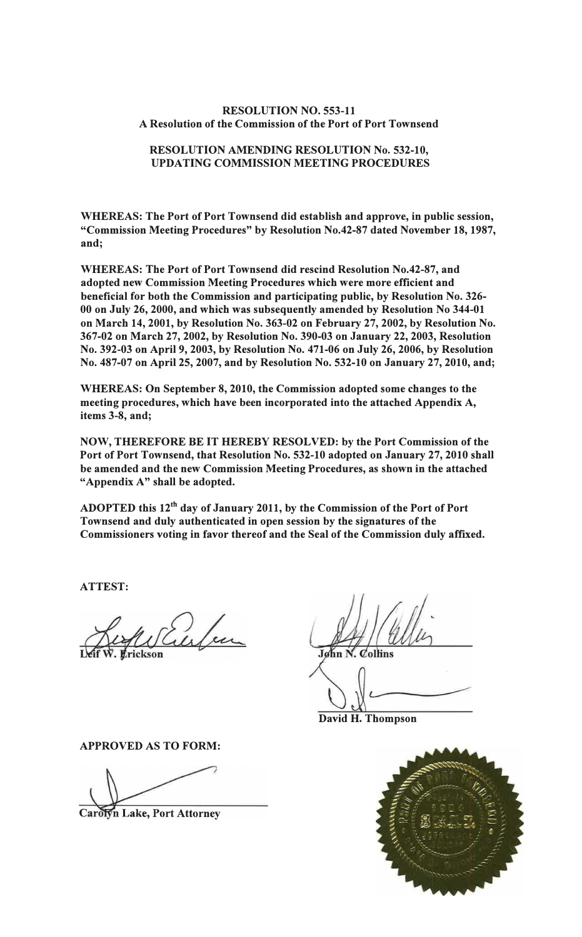### **RESOLUTION NO. 553-11 A Resolution of the Commission of the Port of Port Townsend**

## **RESOLUTION AMENDING RESOLUTION No. 532-10, UPDATING COMMISSION MEETING PROCEDURES**

**WHEREAS: The Port of Port Townsend did establish and approve, in public session, "Commission Meeting Procedures" by Resolution No.42-87 dated November 18, 1987, and;** 

**WHEREAS: The Port of Port Townsend did rescind Resolution No.42-87, and adopted new Commission Meeting Procedures which were more efficient and beneficial for both the Commission and participating public, by Resolution No. 326- 00 on July 26, 2000, and which was subsequently amended by Resolution No 344-01 on March 14, 2001, by Resolution No. 363-02 on February 27, 2002, by Resolution No. 367-02 on March 27, 2002, by Resolution No. 390-03 on January 22, 2003, Resolution No. 392-03 on April 9, 2003, by Resolution No. 471-06 on July 26, 2006, by Resolution No. 487-07 on April 25, 2007, and by Resolution No. 532-10 on January 27, 2010, and;**

**WHEREAS: On September 8, 2010, the Commission adopted some changes to the meeting procedures, which have been incorporated into the attached Appendix A, items 3-8, and;** 

**NOW, THEREFORE BE IT HEREBY RESOLVED: by the Port Commission of the Port of Port Townsend, that Resolution No. 532-10 adopted on January 27, 2010 shall be amended and the new Commission Meeting Procedures, as shown in the attached "Appendix A" shall be adopted.** 

**ADOPTED this 12th day of January 2011, by the Commission of the Port of Port Townsend and duly authenticated in open session by the signatures of the Commissioners voting in favor thereof and the Seal of the Commission duly affixed.** 

**ATTEST:** 

Erickson

**APPROVED AS TO FORM:** 

Carolyn Lake, Port Attorney

John N.  $\mathcal{O}$ ollins

**David H. Thompson** 

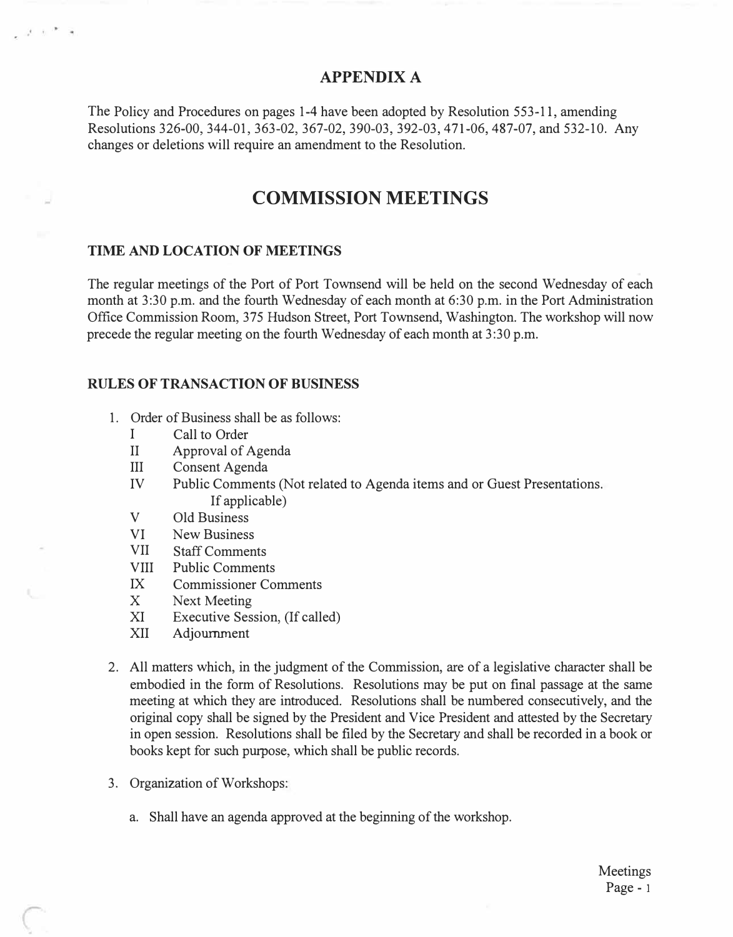### **APPENDIX A**

The Policy and Procedures on pages 1-4 have been adopted by Resolution 553-11, amending Resolutions 326-00, 344-01, 363-02, 367-02, 390-03, 392-03, 471-06, 487-07, and 532-10. Any changes or deletions will require an amendment to the Resolution.

# **COMMISSION MEETINGS**

### **TIME AND LOCATION OF MEETINGS**

فالحمار

The regular meetings of the Port of Port Townsend will be held on the second Wednesday of each month at 3:30 p.m. and the fourth Wednesday of each month at 6:30 p.m. in the Port Administration Office Commission Room, 375 Hudson Street, Port Townsend, Washington. The workshop will now precede the regular meeting on the fourth Wednesday of each month at 3:30 p.m.

#### **RULES OF TRANSACTION OF BUSINESS**

- 1. Order of Business shall be as follows:
	- I Call to Order
	- II Approval of Agenda
	- III Consent Agenda
	- IV Public Comments (Not related to Agenda items and or Guest Presentations. If applicable)
	- V Old Business
	- VI New Business
	- VII Staff Comments
	- VIII Public Comments
	- IX Commissioner Comments
	- X Next Meeting
	- XI Executive Session, (If called)
	- XII Adjournment
- 2. All matters which, in the judgment of the Commission, are of a legislative character shall be embodied in the form of Resolutions. Resolutions may be put on final passage at the same meeting at which they are introduced. Resolutions shall be numbered consecutively, and the original copy shall be signed by the President and Vice President and attested by the Secretary in open session. Resolutions shall be filed by the Secretary and shall be recorded in a book or books kept for such purpose, which shall be public records.
- 3. Organization of Workshops:
	- a. Shall have an agenda approved at the beginning of the workshop.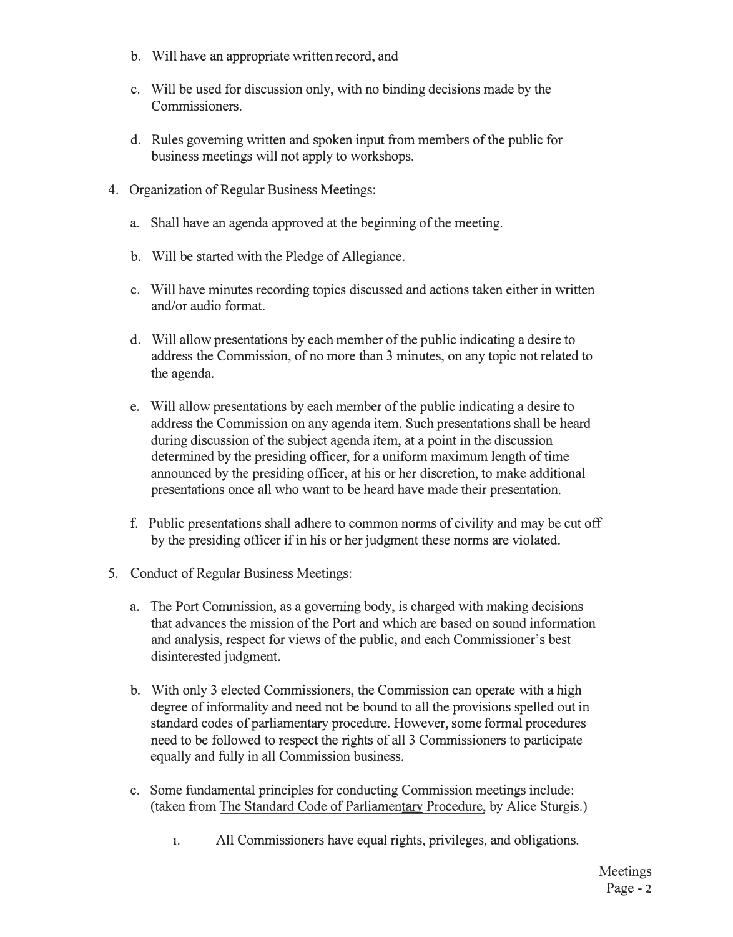- b. Will have an appropriate written record, and
- c. Will be used for discussion only, with no binding decisions made by the Commissioners.
- d. Rules governing written and spoken input from members of the public for business meetings will not apply to workshops.
- 4. Organization of Regular Business Meetings:
	- a. Shall have an agenda approved at the beginning of the meeting.
	- b. Will be started with the Pledge of Allegiance.
	- c. Will have minutes recording topics discussed and actions taken either in written and/or audio format.
	- d. Will allow presentations by each member of the public indicating a desire to address the Commission, of no more than 3 minutes, on any topic not related to the agenda.
	- e. Will allow presentations by each member of the public indicating a desire to address the Commission on any agenda item. Such presentations shall be heard during discussion of the subject agenda item, at a point in the discussion determined by the presiding officer, for a uniform maximum length of time announced by the presiding officer, at his or her discretion, to make additional presentations once all who want to be heard have made their presentation.
	- f. Public presentations shall adhere to common norms of civility and may be cut off by the presiding officer if in his or her judgment these norms are violated.
- 5. Conduct of Regular Business Meetings:
	- a. The Port Commission, as a governing body, is charged with making decisions that advances the mission of the Port and which are based on sound information and analysis, respect for views of the public, and each Commissioner's best disinterested judgment.
	- b. With only 3 elected Commissioners, the Commission can operate with a high degree of informality and need not be bound to all the provisions spelled out in standard codes of parliamentary procedure. However, some formal procedures need to be followed to respect the rights of all 3 Commissioners to participate equally and fully in all Commission business.
	- c. Some fundamental principles for conducting Commission meetings include: (taken from The Standard Code of Parliamentary Procedure, by Alice Sturgis.)
		- **1.** All Commissioners have equal rights, privileges, and obligations.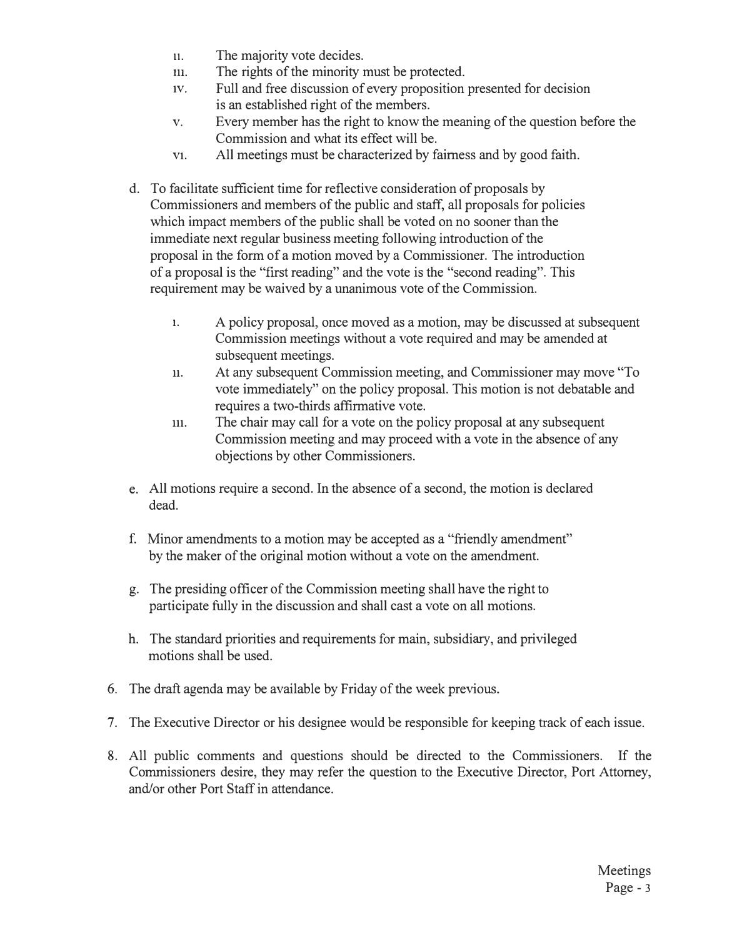- **11.** The majority vote decides.
- m. The rights of the minority must be protected.
- 1v. Full and free discussion of every proposition presented for decision is an established right of the members.
- v. Every member has the right to know the meaning of the question before the Commission and what its effect will be.
- v1. All meetings must be characterized by fairness and by good faith.
- d. To facilitate sufficient time for reflective consideration of proposals by Commissioners and members of the public and staff, all proposals for policies which impact members of the public shall be voted on no sooner than the immediate next regular business meeting following introduction of the proposal in the form of a motion moved by a Commissioner. The introduction of a proposal is the "first reading" and the vote is the "second reading". This requirement may be waived by a unanimous vote of the Commission.
	- **1.** A policy proposal, once moved as a motion, may be discussed at subsequent Commission meetings without a vote required and may be amended at subsequent meetings.
	- 11. At any subsequent Commission meeting, and Commissioner may move "To vote immediately" on the policy proposal. This motion is not debatable and requires a two-thirds affirmative vote.
	- 111. The chair may call for a vote on the policy proposal at any subsequent Commission meeting and may proceed with a vote in the absence of any objections by other Commissioners.
- e. All motions require a second. In the absence of a second, the motion is declared dead.
- f. Minor amendments to a motion may be accepted as a "friendly amendment" by the maker of the original motion without a vote on the amendment.
- g. The presiding officer of the Commission meeting shall have the right to participate fully in the discussion and shall cast a vote on all motions.
- h. The standard priorities and requirements for main, subsidiary, and privileged motions shall be used.
- 6. The draft agenda may be available by Friday of the week previous.
- 7. The Executive Director or his designee would be responsible for keeping track of each issue.
- 8. All public comments and questions should be directed to the Commissioners. If the Commissioners desire, they may refer the question to the Executive Director, Port Attorney, and/or other Port Staff in attendance.